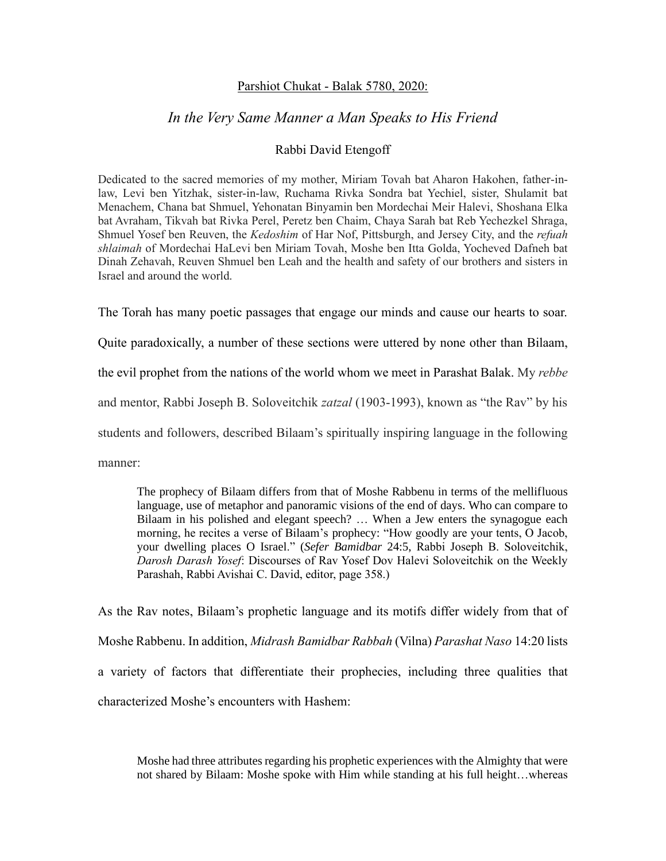## Parshiot Chukat - Balak 5780, 2020:

## *In the Very Same Manner a Man Speaks to His Friend*

## Rabbi David Etengoff

Dedicated to the sacred memories of my mother, Miriam Tovah bat Aharon Hakohen, father-inlaw, Levi ben Yitzhak, sister-in-law, Ruchama Rivka Sondra bat Yechiel, sister, Shulamit bat Menachem, Chana bat Shmuel, Yehonatan Binyamin ben Mordechai Meir Halevi, Shoshana Elka bat Avraham, Tikvah bat Rivka Perel, Peretz ben Chaim, Chaya Sarah bat Reb Yechezkel Shraga, Shmuel Yosef ben Reuven, the *Kedoshim* of Har Nof, Pittsburgh, and Jersey City, and the *refuah shlaimah* of Mordechai HaLevi ben Miriam Tovah, Moshe ben Itta Golda, Yocheved Dafneh bat Dinah Zehavah, Reuven Shmuel ben Leah and the health and safety of our brothers and sisters in Israel and around the world.

The Torah has many poetic passages that engage our minds and cause our hearts to soar.

Quite paradoxically, a number of these sections were uttered by none other than Bilaam,

the evil prophet from the nations of the world whom we meet in Parashat Balak. My *rebbe* 

and mentor, Rabbi Joseph B. Soloveitchik *zatzal* (1903-1993), known as "the Rav" by his

students and followers, described Bilaam's spiritually inspiring language in the following

manner:

The prophecy of Bilaam differs from that of Moshe Rabbenu in terms of the mellifluous language, use of metaphor and panoramic visions of the end of days. Who can compare to Bilaam in his polished and elegant speech? … When a Jew enters the synagogue each morning, he recites a verse of Bilaam's prophecy: "How goodly are your tents, O Jacob, your dwelling places O Israel." (*Sefer Bamidbar* 24:5, Rabbi Joseph B. Soloveitchik, *Darosh Darash Yosef*: Discourses of Rav Yosef Dov Halevi Soloveitchik on the Weekly Parashah, Rabbi Avishai C. David, editor, page 358.)

As the Rav notes, Bilaam's prophetic language and its motifs differ widely from that of Moshe Rabbenu. In addition, *Midrash Bamidbar Rabbah* (Vilna) *Parashat Naso* 14:20 lists a variety of factors that differentiate their prophecies, including three qualities that characterized Moshe's encounters with Hashem:

Moshe had three attributes regarding his prophetic experiences with the Almighty that were not shared by Bilaam: Moshe spoke with Him while standing at his full height…whereas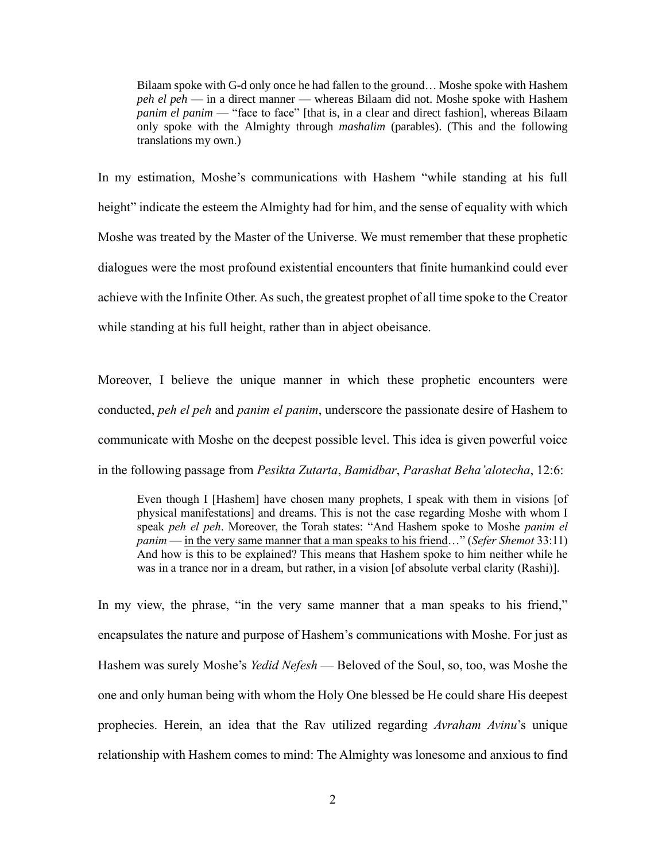Bilaam spoke with G-d only once he had fallen to the ground… Moshe spoke with Hashem *peh el peh* — in a direct manner — whereas Bilaam did not. Moshe spoke with Hashem *panim el panim* — "face to face" [that is, in a clear and direct fashion], whereas Bilaam only spoke with the Almighty through *mashalim* (parables). (This and the following translations my own.)

In my estimation, Moshe's communications with Hashem "while standing at his full height" indicate the esteem the Almighty had for him, and the sense of equality with which Moshe was treated by the Master of the Universe. We must remember that these prophetic dialogues were the most profound existential encounters that finite humankind could ever achieve with the Infinite Other. As such, the greatest prophet of all time spoke to the Creator while standing at his full height, rather than in abject obeisance.

Moreover, I believe the unique manner in which these prophetic encounters were conducted, *peh el peh* and *panim el panim*, underscore the passionate desire of Hashem to communicate with Moshe on the deepest possible level. This idea is given powerful voice in the following passage from *Pesikta Zutarta*, *Bamidbar*, *Parashat Beha'alotecha*, 12:6:

Even though I [Hashem] have chosen many prophets, I speak with them in visions [of physical manifestations] and dreams. This is not the case regarding Moshe with whom I speak *peh el peh*. Moreover, the Torah states: "And Hashem spoke to Moshe *panim el panim* — in the very same manner that a man speaks to his friend…" (*Sefer Shemot* 33:11) And how is this to be explained? This means that Hashem spoke to him neither while he was in a trance nor in a dream, but rather, in a vision [of absolute verbal clarity (Rashi)].

In my view, the phrase, "in the very same manner that a man speaks to his friend," encapsulates the nature and purpose of Hashem's communications with Moshe. For just as Hashem was surely Moshe's *Yedid Nefesh* — Beloved of the Soul, so, too, was Moshe the one and only human being with whom the Holy One blessed be He could share His deepest prophecies. Herein, an idea that the Rav utilized regarding *Avraham Avinu*'s unique relationship with Hashem comes to mind: The Almighty was lonesome and anxious to find